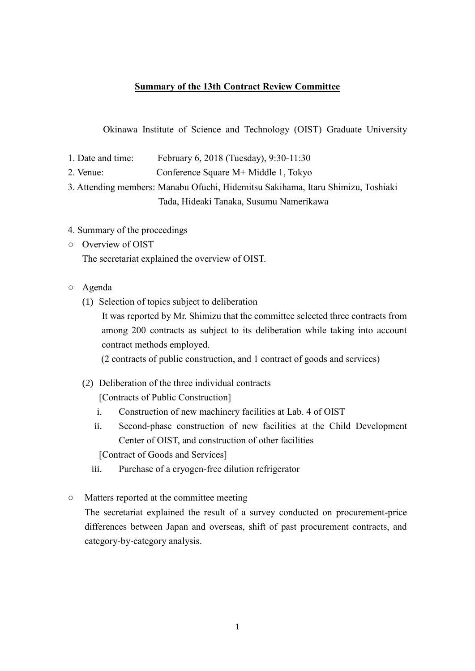## **Summary of the 13th Contract Review Committee**

Okinawa Institute of Science and Technology (OIST) Graduate University

- 1. Date and time: February 6, 2018 (Tuesday), 9:30-11:30
- 2. Venue: Conference Square M+ Middle 1, Tokyo

3. Attending members: Manabu Ofuchi, Hidemitsu Sakihama, Itaru Shimizu, Toshiaki Tada, Hideaki Tanaka, Susumu Namerikawa

- 4. Summary of the proceedings
- Overview of OIST The secretariat explained the overview of OIST.
- Agenda
	- (1) Selection of topics subject to deliberation

It was reported by Mr. Shimizu that the committee selected three contracts from among 200 contracts as subject to its deliberation while taking into account contract methods employed.

(2 contracts of public construction, and 1 contract of goods and services)

(2) Deliberation of the three individual contracts

[Contracts of Public Construction]

- i. Construction of new machinery facilities at Lab. 4 of OIST
- ii. Second-phase construction of new facilities at the Child Development Center of OIST, and construction of other facilities

[Contract of Goods and Services]

- iii. Purchase of a cryogen-free dilution refrigerator
- Matters reported at the committee meeting

The secretariat explained the result of a survey conducted on procurement-price differences between Japan and overseas, shift of past procurement contracts, and category-by-category analysis.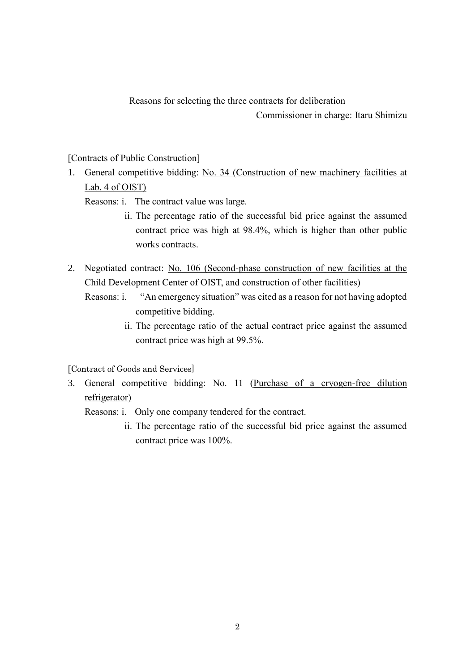Reasons for selecting the three contracts for deliberation

Commissioner in charge: Itaru Shimizu

[Contracts of Public Construction]

- 1. General competitive bidding: No. 34 (Construction of new machinery facilities at Lab. 4 of OIST)
	- Reasons: i. The contract value was large.
		- ii. The percentage ratio of the successful bid price against the assumed contract price was high at 98.4%, which is higher than other public works contracts.
- 2. Negotiated contract: No. 106 (Second-phase construction of new facilities at the Child Development Center of OIST, and construction of other facilities)

Reasons: i. "An emergency situation" was cited as a reason for not having adopted competitive bidding.

> ii. The percentage ratio of the actual contract price against the assumed contract price was high at 99.5%.

[Contract of Goods and Services]

3. General competitive bidding: No. 11 (Purchase of a cryogen-free dilution refrigerator)

Reasons: i. Only one company tendered for the contract.

ii. The percentage ratio of the successful bid price against the assumed contract price was 100%.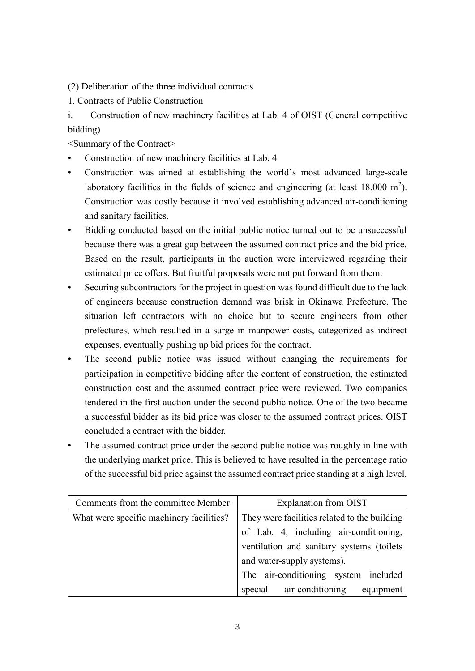(2) Deliberation of the three individual contracts

1. Contracts of Public Construction

i. Construction of new machinery facilities at Lab. 4 of OIST (General competitive bidding)

<Summary of the Contract>

- Construction of new machinery facilities at Lab. 4
- Construction was aimed at establishing the world's most advanced large-scale laboratory facilities in the fields of science and engineering (at least  $18,000 \text{ m}^2$ ). Construction was costly because it involved establishing advanced air-conditioning and sanitary facilities.
- Bidding conducted based on the initial public notice turned out to be unsuccessful because there was a great gap between the assumed contract price and the bid price. Based on the result, participants in the auction were interviewed regarding their estimated price offers. But fruitful proposals were not put forward from them.
- Securing subcontractors for the project in question was found difficult due to the lack of engineers because construction demand was brisk in Okinawa Prefecture. The situation left contractors with no choice but to secure engineers from other prefectures, which resulted in a surge in manpower costs, categorized as indirect expenses, eventually pushing up bid prices for the contract.
- The second public notice was issued without changing the requirements for participation in competitive bidding after the content of construction, the estimated construction cost and the assumed contract price were reviewed. Two companies tendered in the first auction under the second public notice. One of the two became a successful bidder as its bid price was closer to the assumed contract prices. OIST concluded a contract with the bidder.
- The assumed contract price under the second public notice was roughly in line with the underlying market price. This is believed to have resulted in the percentage ratio of the successful bid price against the assumed contract price standing at a high level.

| Comments from the committee Member       | Explanation from OIST                        |
|------------------------------------------|----------------------------------------------|
| What were specific machinery facilities? | They were facilities related to the building |
|                                          | of Lab. 4, including air-conditioning,       |
|                                          | ventilation and sanitary systems (toilets    |
|                                          | and water-supply systems).                   |
|                                          | The air-conditioning system included         |
|                                          | special air-conditioning<br>equipment        |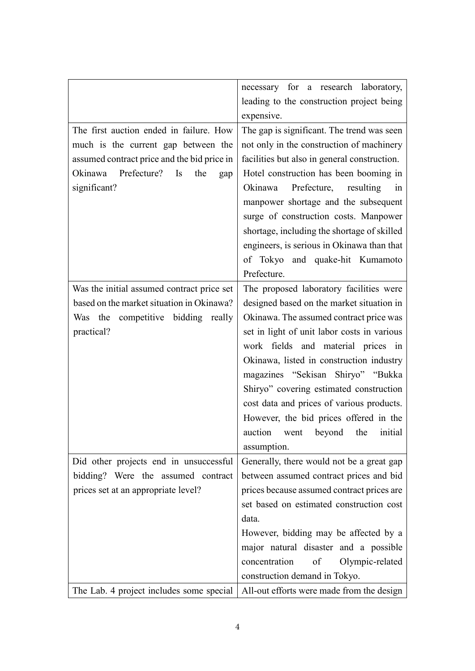|                                             | necessary for a research laboratory,         |
|---------------------------------------------|----------------------------------------------|
|                                             | leading to the construction project being    |
|                                             | expensive.                                   |
| The first auction ended in failure. How     | The gap is significant. The trend was seen   |
| much is the current gap between the         | not only in the construction of machinery    |
| assumed contract price and the bid price in | facilities but also in general construction. |
| Prefecture? Is<br>Okinawa<br>the<br>gap     | Hotel construction has been booming in       |
| significant?                                | Prefecture, resulting<br>Okinawa<br>in       |
|                                             | manpower shortage and the subsequent         |
|                                             | surge of construction costs. Manpower        |
|                                             | shortage, including the shortage of skilled  |
|                                             |                                              |
|                                             | engineers, is serious in Okinawa than that   |
|                                             | of Tokyo and quake-hit Kumamoto              |
|                                             | Prefecture.                                  |
| Was the initial assumed contract price set  | The proposed laboratory facilities were      |
| based on the market situation in Okinawa?   | designed based on the market situation in    |
| Was the competitive bidding really          | Okinawa. The assumed contract price was      |
| practical?                                  | set in light of unit labor costs in various  |
|                                             | work fields and material prices in           |
|                                             | Okinawa, listed in construction industry     |
|                                             | magazines "Sekisan Shiryo" "Bukka            |
|                                             | Shiryo" covering estimated construction      |
|                                             | cost data and prices of various products.    |
|                                             | However, the bid prices offered in the       |
|                                             | auction went beyond the initial              |
|                                             | assumption.                                  |
| Did other projects end in unsuccessful      | Generally, there would not be a great gap    |
| bidding? Were the assumed contract          | between assumed contract prices and bid      |
| prices set at an appropriate level?         | prices because assumed contract prices are   |
|                                             | set based on estimated construction cost     |
|                                             | data.                                        |
|                                             |                                              |
|                                             | However, bidding may be affected by a        |
|                                             | major natural disaster and a possible        |
|                                             | concentration<br>of<br>Olympic-related       |
|                                             | construction demand in Tokyo.                |
| The Lab. 4 project includes some special    | All-out efforts were made from the design    |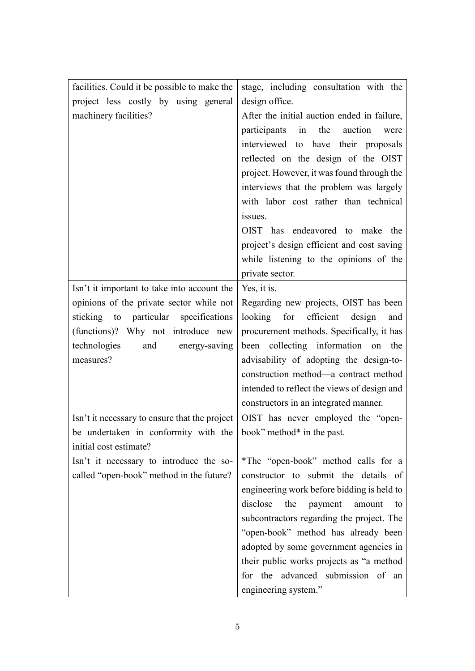| facilities. Could it be possible to make the  | stage, including consultation with the      |
|-----------------------------------------------|---------------------------------------------|
| project less costly by using general          | design office.                              |
| machinery facilities?                         | After the initial auction ended in failure, |
|                                               | participants<br>in the<br>auction<br>were   |
|                                               | interviewed to have their proposals         |
|                                               | reflected on the design of the OIST         |
|                                               | project. However, it was found through the  |
|                                               | interviews that the problem was largely     |
|                                               | with labor cost rather than technical       |
|                                               | issues.                                     |
|                                               | OIST has endeavored to make the             |
|                                               | project's design efficient and cost saving  |
|                                               | while listening to the opinions of the      |
|                                               | private sector.                             |
| Isn't it important to take into account the   | Yes, it is.                                 |
| opinions of the private sector while not      | Regarding new projects, OIST has been       |
| sticking to particular specifications         | looking for efficient design<br>and         |
| (functions)? Why not introduce new            | procurement methods. Specifically, it has   |
| technologies<br>energy-saving<br>and          | been collecting information on the          |
| measures?                                     | advisability of adopting the design-to-     |
|                                               | construction method-a contract method       |
|                                               | intended to reflect the views of design and |
|                                               | constructors in an integrated manner.       |
| Isn't it necessary to ensure that the project | OIST has never employed the "open-          |
| be undertaken in conformity with the          | book" method* in the past.                  |
| initial cost estimate?                        |                                             |
| Isn't it necessary to introduce the so-       | *The "open-book" method calls for a         |
| called "open-book" method in the future?      | constructor to submit the details of        |
|                                               | engineering work before bidding is held to  |
|                                               | disclose<br>the<br>payment<br>amount<br>to  |
|                                               | subcontractors regarding the project. The   |
|                                               | "open-book" method has already been         |
|                                               | adopted by some government agencies in      |
|                                               | their public works projects as "a method    |
|                                               | for the advanced submission of an           |
|                                               | engineering system."                        |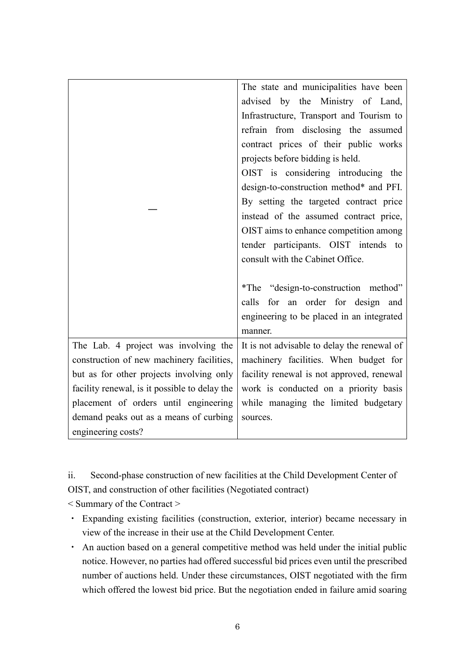|                                               | The state and municipalities have been      |
|-----------------------------------------------|---------------------------------------------|
|                                               | advised by the Ministry of Land,            |
|                                               | Infrastructure, Transport and Tourism to    |
|                                               | refrain from disclosing the assumed         |
|                                               | contract prices of their public works       |
|                                               | projects before bidding is held.            |
|                                               | OIST is considering introducing the         |
|                                               | design-to-construction method* and PFI.     |
|                                               | By setting the targeted contract price      |
|                                               | instead of the assumed contract price,      |
|                                               | OIST aims to enhance competition among      |
|                                               | tender participants. OIST intends to        |
|                                               | consult with the Cabinet Office.            |
|                                               |                                             |
|                                               | *The "design-to-construction method"        |
|                                               | calls for an order for design and           |
|                                               | engineering to be placed in an integrated   |
|                                               | manner.                                     |
| The Lab. 4 project was involving the          | It is not advisable to delay the renewal of |
| construction of new machinery facilities,     | machinery facilities. When budget for       |
| but as for other projects involving only      | facility renewal is not approved, renewal   |
| facility renewal, is it possible to delay the | work is conducted on a priority basis       |
| placement of orders until engineering         | while managing the limited budgetary        |
| demand peaks out as a means of curbing        | sources.                                    |
| engineering costs?                            |                                             |

ii. Second-phase construction of new facilities at the Child Development Center of OIST, and construction of other facilities (Negotiated contract)

< Summary of the Contract >

- ・ Expanding existing facilities (construction, exterior, interior) became necessary in view of the increase in their use at the Child Development Center.
- ・ An auction based on a general competitive method was held under the initial public notice. However, no parties had offered successful bid prices even until the prescribed number of auctions held. Under these circumstances, OIST negotiated with the firm which offered the lowest bid price. But the negotiation ended in failure amid soaring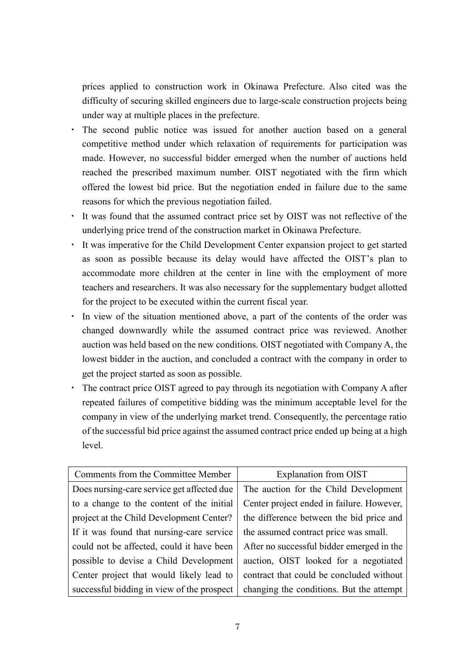prices applied to construction work in Okinawa Prefecture. Also cited was the difficulty of securing skilled engineers due to large-scale construction projects being under way at multiple places in the prefecture.

- ・ The second public notice was issued for another auction based on a general competitive method under which relaxation of requirements for participation was made. However, no successful bidder emerged when the number of auctions held reached the prescribed maximum number. OIST negotiated with the firm which offered the lowest bid price. But the negotiation ended in failure due to the same reasons for which the previous negotiation failed.
- ・ It was found that the assumed contract price set by OIST was not reflective of the underlying price trend of the construction market in Okinawa Prefecture.
- ・ It was imperative for the Child Development Center expansion project to get started as soon as possible because its delay would have affected the OIST's plan to accommodate more children at the center in line with the employment of more teachers and researchers. It was also necessary for the supplementary budget allotted for the project to be executed within the current fiscal year.
- ・ In view of the situation mentioned above, a part of the contents of the order was changed downwardly while the assumed contract price was reviewed. Another auction was held based on the new conditions. OIST negotiated with Company A, the lowest bidder in the auction, and concluded a contract with the company in order to get the project started as soon as possible.
- ・ The contract price OIST agreed to pay through its negotiation with Company A after repeated failures of competitive bidding was the minimum acceptable level for the company in view of the underlying market trend. Consequently, the percentage ratio of the successful bid price against the assumed contract price ended up being at a high level.

| Comments from the Committee Member         | <b>Explanation from OIST</b>              |
|--------------------------------------------|-------------------------------------------|
| Does nursing-care service get affected due | The auction for the Child Development     |
| to a change to the content of the initial  | Center project ended in failure. However, |
| project at the Child Development Center?   | the difference between the bid price and  |
| If it was found that nursing-care service  | the assumed contract price was small.     |
| could not be affected, could it have been  | After no successful bidder emerged in the |
| possible to devise a Child Development     | auction, OIST looked for a negotiated     |
| Center project that would likely lead to   | contract that could be concluded without  |
| successful bidding in view of the prospect | changing the conditions. But the attempt  |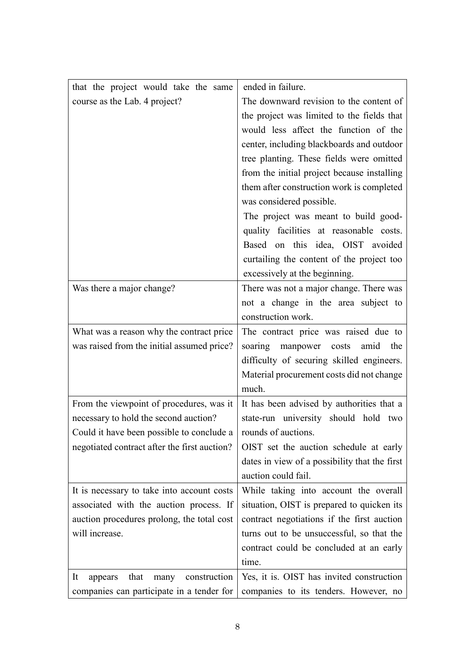| that the project would take the same          | ended in failure.                             |
|-----------------------------------------------|-----------------------------------------------|
| course as the Lab. 4 project?                 | The downward revision to the content of       |
|                                               | the project was limited to the fields that    |
|                                               | would less affect the function of the         |
|                                               | center, including blackboards and outdoor     |
|                                               | tree planting. These fields were omitted      |
|                                               | from the initial project because installing   |
|                                               | them after construction work is completed     |
|                                               | was considered possible.                      |
|                                               | The project was meant to build good-          |
|                                               | quality facilities at reasonable costs.       |
|                                               | Based on this idea, OIST avoided              |
|                                               | curtailing the content of the project too     |
|                                               | excessively at the beginning.                 |
| Was there a major change?                     | There was not a major change. There was       |
|                                               | not a change in the area subject to           |
|                                               | construction work.                            |
| What was a reason why the contract price      | The contract price was raised due to          |
| was raised from the initial assumed price?    | manpower<br>soaring<br>costs<br>amid the      |
|                                               | difficulty of securing skilled engineers.     |
|                                               | Material procurement costs did not change     |
|                                               | much.                                         |
| From the viewpoint of procedures, was it      | It has been advised by authorities that a     |
| necessary to hold the second auction?         | state-run university should hold two          |
| Could it have been possible to conclude a     | rounds of auctions.                           |
| negotiated contract after the first auction?  | OIST set the auction schedule at early        |
|                                               | dates in view of a possibility that the first |
|                                               | auction could fail.                           |
| It is necessary to take into account costs    | While taking into account the overall         |
| associated with the auction process. If       | situation, OIST is prepared to quicken its    |
| auction procedures prolong, the total cost    | contract negotiations if the first auction    |
| will increase.                                | turns out to be unsuccessful, so that the     |
|                                               | contract could be concluded at an early       |
|                                               | time.                                         |
| construction<br>It<br>that<br>many<br>appears | Yes, it is. OIST has invited construction     |
| companies can participate in a tender for     | companies to its tenders. However, no         |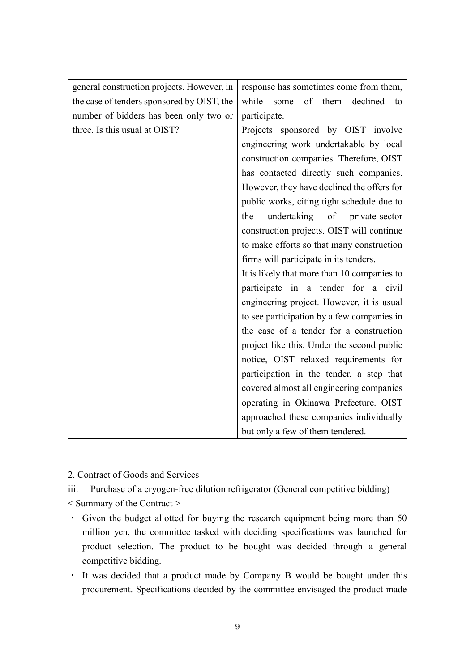| general construction projects. However, in | response has sometimes come from them,      |
|--------------------------------------------|---------------------------------------------|
| the case of tenders sponsored by OIST, the | of them<br>while<br>declined<br>some<br>to  |
| number of bidders has been only two or     | participate.                                |
| three. Is this usual at OIST?              | Projects sponsored by OIST involve          |
|                                            | engineering work undertakable by local      |
|                                            | construction companies. Therefore, OIST     |
|                                            | has contacted directly such companies.      |
|                                            | However, they have declined the offers for  |
|                                            | public works, citing tight schedule due to  |
|                                            | undertaking of private-sector<br>the        |
|                                            | construction projects. OIST will continue   |
|                                            | to make efforts so that many construction   |
|                                            | firms will participate in its tenders.      |
|                                            | It is likely that more than 10 companies to |
|                                            | participate in a tender for a civil         |
|                                            | engineering project. However, it is usual   |
|                                            | to see participation by a few companies in  |
|                                            | the case of a tender for a construction     |
|                                            | project like this. Under the second public  |
|                                            | notice, OIST relaxed requirements for       |
|                                            | participation in the tender, a step that    |
|                                            | covered almost all engineering companies    |
|                                            | operating in Okinawa Prefecture. OIST       |
|                                            | approached these companies individually     |
|                                            | but only a few of them tendered.            |

2. Contract of Goods and Services

iii. Purchase of a cryogen-free dilution refrigerator (General competitive bidding)

- < Summary of the Contract >
- ・ Given the budget allotted for buying the research equipment being more than 50 million yen, the committee tasked with deciding specifications was launched for product selection. The product to be bought was decided through a general competitive bidding.
- ・ It was decided that a product made by Company B would be bought under this procurement. Specifications decided by the committee envisaged the product made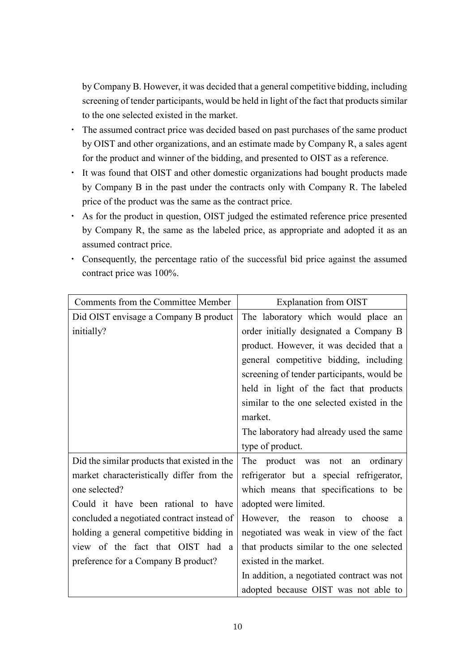by Company B. However, it was decided that a general competitive bidding, including screening of tender participants, would be held in light of the fact that products similar to the one selected existed in the market.

- ・ The assumed contract price was decided based on past purchases of the same product by OIST and other organizations, and an estimate made by Company R, a sales agent for the product and winner of the bidding, and presented to OIST as a reference.
- ・ It was found that OIST and other domestic organizations had bought products made by Company B in the past under the contracts only with Company R. The labeled price of the product was the same as the contract price.
- ・ As for the product in question, OIST judged the estimated reference price presented by Company R, the same as the labeled price, as appropriate and adopted it as an assumed contract price.
- ・ Consequently, the percentage ratio of the successful bid price against the assumed contract price was 100%.

| Comments from the Committee Member           | Explanation from OIST                      |
|----------------------------------------------|--------------------------------------------|
| Did OIST envisage a Company B product        | The laboratory which would place an        |
| initially?                                   | order initially designated a Company B     |
|                                              | product. However, it was decided that a    |
|                                              | general competitive bidding, including     |
|                                              | screening of tender participants, would be |
|                                              | held in light of the fact that products    |
|                                              | similar to the one selected existed in the |
|                                              | market.                                    |
|                                              | The laboratory had already used the same   |
|                                              | type of product.                           |
| Did the similar products that existed in the | The product was not<br>ordinary<br>an      |
| market characteristically differ from the    | refrigerator but a special refrigerator,   |
| one selected?                                | which means that specifications to be      |
| Could it have been rational to have          | adopted were limited.                      |
| concluded a negotiated contract instead of   | However, the reason to choose<br>a         |
| holding a general competitive bidding in     | negotiated was weak in view of the fact    |
| view of the fact that OIST had a             | that products similar to the one selected  |
| preference for a Company B product?          | existed in the market.                     |
|                                              | In addition, a negotiated contract was not |
|                                              | adopted because OIST was not able to       |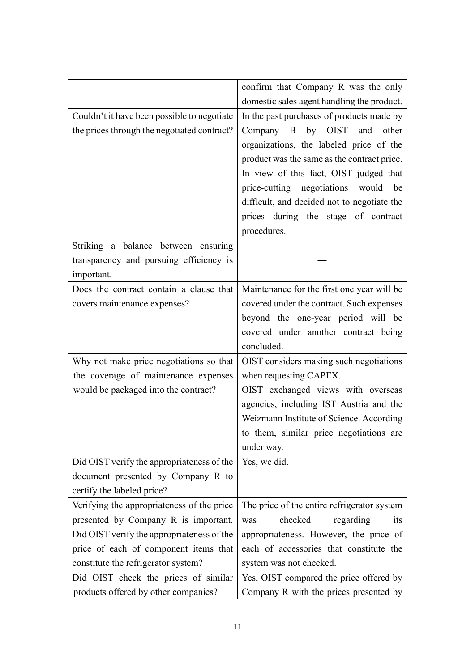|                                             | confirm that Company R was the only         |
|---------------------------------------------|---------------------------------------------|
|                                             | domestic sales agent handling the product.  |
| Couldn't it have been possible to negotiate | In the past purchases of products made by   |
| the prices through the negotiated contract? | Company B by OIST and other                 |
|                                             | organizations, the labeled price of the     |
|                                             | product was the same as the contract price. |
|                                             | In view of this fact, OIST judged that      |
|                                             | price-cutting negotiations would be         |
|                                             | difficult, and decided not to negotiate the |
|                                             | prices during the stage of contract         |
|                                             | procedures.                                 |
| Striking a balance between ensuring         |                                             |
| transparency and pursuing efficiency is     |                                             |
| important.                                  |                                             |
| Does the contract contain a clause that     | Maintenance for the first one year will be  |
| covers maintenance expenses?                | covered under the contract. Such expenses   |
|                                             | beyond the one-year period will be          |
|                                             | covered under another contract being        |
|                                             | concluded.                                  |
| Why not make price negotiations so that     | OIST considers making such negotiations     |
| the coverage of maintenance expenses        | when requesting CAPEX.                      |
| would be packaged into the contract?        | OIST exchanged views with overseas          |
|                                             | agencies, including IST Austria and the     |
|                                             | Weizmann Institute of Science. According    |
|                                             | to them, similar price negotiations are     |
|                                             | under way.                                  |
| Did OIST verify the appropriateness of the  | Yes, we did.                                |
| document presented by Company R to          |                                             |
| certify the labeled price?                  |                                             |
| Verifying the appropriateness of the price  | The price of the entire refrigerator system |
| presented by Company R is important.        | checked<br>regarding<br>was<br><i>its</i>   |
| Did OIST verify the appropriateness of the  | appropriateness. However, the price of      |
| price of each of component items that       | each of accessories that constitute the     |
| constitute the refrigerator system?         | system was not checked.                     |
| Did OIST check the prices of similar        | Yes, OIST compared the price offered by     |
| products offered by other companies?        | Company R with the prices presented by      |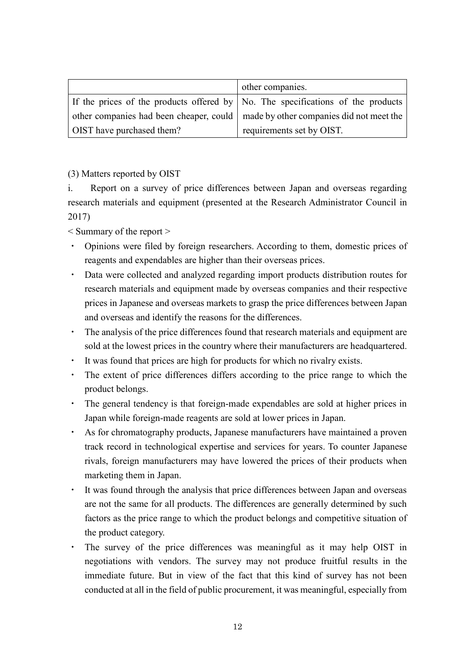|                                                                                    | other companies.          |
|------------------------------------------------------------------------------------|---------------------------|
| If the prices of the products offered by No. The specifications of the products    |                           |
| other companies had been cheaper, could   made by other companies did not meet the |                           |
| OIST have purchased them?                                                          | requirements set by OIST. |

(3) Matters reported by OIST

i. Report on a survey of price differences between Japan and overseas regarding research materials and equipment (presented at the Research Administrator Council in 2017)

< Summary of the report >

- ・ Opinions were filed by foreign researchers. According to them, domestic prices of reagents and expendables are higher than their overseas prices.
- ・ Data were collected and analyzed regarding import products distribution routes for research materials and equipment made by overseas companies and their respective prices in Japanese and overseas markets to grasp the price differences between Japan and overseas and identify the reasons for the differences.
- ・ The analysis of the price differences found that research materials and equipment are sold at the lowest prices in the country where their manufacturers are headquartered.
- ・ It was found that prices are high for products for which no rivalry exists.
- The extent of price differences differs according to the price range to which the product belongs.
- ・ The general tendency is that foreign-made expendables are sold at higher prices in Japan while foreign-made reagents are sold at lower prices in Japan.
- ・ As for chromatography products, Japanese manufacturers have maintained a proven track record in technological expertise and services for years. To counter Japanese rivals, foreign manufacturers may have lowered the prices of their products when marketing them in Japan.
- ・ It was found through the analysis that price differences between Japan and overseas are not the same for all products. The differences are generally determined by such factors as the price range to which the product belongs and competitive situation of the product category.
- ・ The survey of the price differences was meaningful as it may help OIST in negotiations with vendors. The survey may not produce fruitful results in the immediate future. But in view of the fact that this kind of survey has not been conducted at all in the field of public procurement, it was meaningful, especially from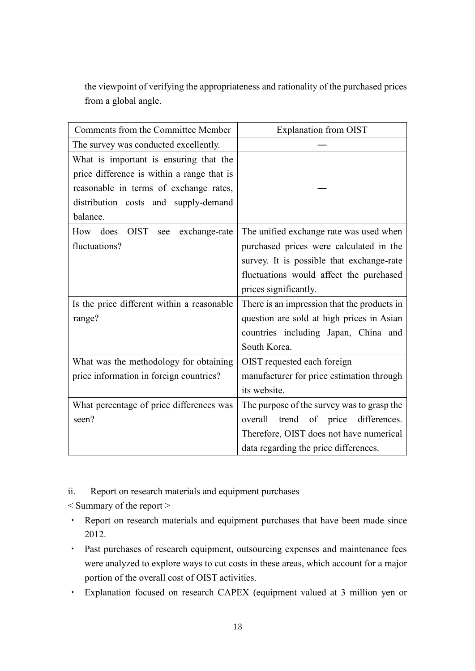the viewpoint of verifying the appropriateness and rationality of the purchased prices from a global angle.

| Comments from the Committee Member         | <b>Explanation from OIST</b>                |
|--------------------------------------------|---------------------------------------------|
| The survey was conducted excellently.      |                                             |
| What is important is ensuring that the     |                                             |
| price difference is within a range that is |                                             |
| reasonable in terms of exchange rates,     |                                             |
| distribution costs and supply-demand       |                                             |
| balance.                                   |                                             |
| How does OIST<br>exchange-rate<br>see      | The unified exchange rate was used when     |
| fluctuations?                              | purchased prices were calculated in the     |
|                                            | survey. It is possible that exchange-rate   |
|                                            | fluctuations would affect the purchased     |
|                                            | prices significantly.                       |
| Is the price different within a reasonable | There is an impression that the products in |
| range?                                     | question are sold at high prices in Asian   |
|                                            | countries including Japan, China and        |
|                                            | South Korea.                                |
| What was the methodology for obtaining     | OIST requested each foreign                 |
| price information in foreign countries?    | manufacturer for price estimation through   |
|                                            | its website.                                |
| What percentage of price differences was   | The purpose of the survey was to grasp the  |
| seen?                                      | overall trend of price differences.         |
|                                            | Therefore, OIST does not have numerical     |
|                                            | data regarding the price differences.       |

ii. Report on research materials and equipment purchases

< Summary of the report >

- ・ Report on research materials and equipment purchases that have been made since 2012.
- ・ Past purchases of research equipment, outsourcing expenses and maintenance fees were analyzed to explore ways to cut costs in these areas, which account for a major portion of the overall cost of OIST activities.
- ・ Explanation focused on research CAPEX (equipment valued at 3 million yen or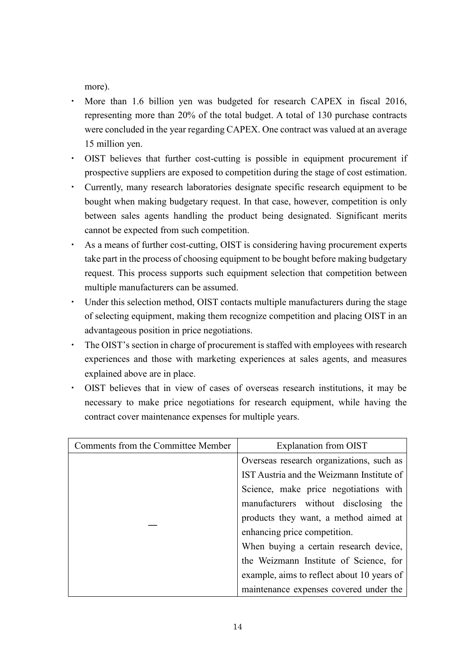more).

- ・ More than 1.6 billion yen was budgeted for research CAPEX in fiscal 2016, representing more than 20% of the total budget. A total of 130 purchase contracts were concluded in the year regarding CAPEX. One contract was valued at an average 15 million yen.
- ・ OIST believes that further cost-cutting is possible in equipment procurement if prospective suppliers are exposed to competition during the stage of cost estimation.
- ・ Currently, many research laboratories designate specific research equipment to be bought when making budgetary request. In that case, however, competition is only between sales agents handling the product being designated. Significant merits cannot be expected from such competition.
- ・ As a means of further cost-cutting, OIST is considering having procurement experts take part in the process of choosing equipment to be bought before making budgetary request. This process supports such equipment selection that competition between multiple manufacturers can be assumed.
- ・ Under this selection method, OIST contacts multiple manufacturers during the stage of selecting equipment, making them recognize competition and placing OIST in an advantageous position in price negotiations.
- ・ The OIST's section in charge of procurement is staffed with employees with research experiences and those with marketing experiences at sales agents, and measures explained above are in place.
- ・ OIST believes that in view of cases of overseas research institutions, it may be necessary to make price negotiations for research equipment, while having the contract cover maintenance expenses for multiple years.

| Comments from the Committee Member | Explanation from OIST                      |
|------------------------------------|--------------------------------------------|
|                                    | Overseas research organizations, such as   |
|                                    | IST Austria and the Weizmann Institute of  |
|                                    | Science, make price negotiations with      |
|                                    | manufacturers without disclosing the       |
|                                    | products they want, a method aimed at      |
|                                    | enhancing price competition.               |
|                                    | When buying a certain research device,     |
|                                    | the Weizmann Institute of Science, for     |
|                                    | example, aims to reflect about 10 years of |
|                                    | maintenance expenses covered under the     |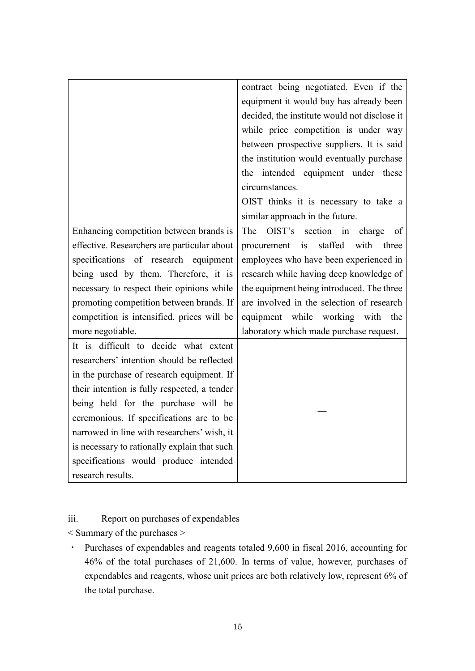|                                              | contract being negotiated. Even if the       |
|----------------------------------------------|----------------------------------------------|
|                                              | equipment it would buy has already been      |
|                                              | decided, the institute would not disclose it |
|                                              | while price competition is under way         |
|                                              | between prospective suppliers. It is said    |
|                                              | the institution would eventually purchase    |
|                                              | the intended equipment under these           |
|                                              | circumstances.                               |
|                                              | OIST thinks it is necessary to take a        |
|                                              | similar approach in the future.              |
| Enhancing competition between brands is      | OIST's<br>section in<br>The<br>of<br>charge  |
| effective. Researchers are particular about  | staffed<br>with<br>procurement is<br>three   |
| specifications of research equipment         | employees who have been experienced in       |
| being used by them. Therefore, it is         | research while having deep knowledge of      |
| necessary to respect their opinions while    | the equipment being introduced. The three    |
| promoting competition between brands. If     | are involved in the selection of research    |
| competition is intensified, prices will be   | equipment while working with the             |
| more negotiable.                             | laboratory which made purchase request.      |
| It is difficult to decide what extent        |                                              |
| researchers' intention should be reflected   |                                              |
| in the purchase of research equipment. If    |                                              |
| their intention is fully respected, a tender |                                              |
| being held for the purchase will be          |                                              |
| ceremonious. If specifications are to be     |                                              |
| narrowed in line with researchers' wish, it  |                                              |
| is necessary to rationally explain that such |                                              |
| specifications would produce intended        |                                              |
| research results.                            |                                              |

## iii. Report on purchases of expendables

< Summary of the purchases >

・ Purchases of expendables and reagents totaled 9,600 in fiscal 2016, accounting for 46% of the total purchases of 21,600. In terms of value, however, purchases of expendables and reagents, whose unit prices are both relatively low, represent 6% of the total purchase.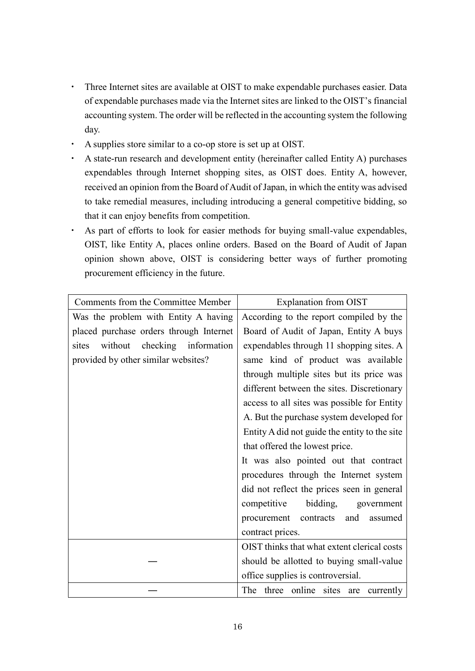- ・ Three Internet sites are available at OIST to make expendable purchases easier. Data of expendable purchases made via the Internet sites are linked to the OIST's financial accounting system. The order will be reflected in the accounting system the following day.
- ・ A supplies store similar to a co-op store is set up at OIST.
- ・ A state-run research and development entity (hereinafter called Entity A) purchases expendables through Internet shopping sites, as OIST does. Entity A, however, received an opinion from the Board of Audit of Japan, in which the entity was advised to take remedial measures, including introducing a general competitive bidding, so that it can enjoy benefits from competition.
- ・ As part of efforts to look for easier methods for buying small-value expendables, OIST, like Entity A, places online orders. Based on the Board of Audit of Japan opinion shown above, OIST is considering better ways of further promoting procurement efficiency in the future.

| Comments from the Committee Member      | <b>Explanation from OIST</b>                  |
|-----------------------------------------|-----------------------------------------------|
| Was the problem with Entity A having    | According to the report compiled by the       |
| placed purchase orders through Internet | Board of Audit of Japan, Entity A buys        |
| without checking information<br>sites   | expendables through 11 shopping sites. A      |
| provided by other similar websites?     | same kind of product was available            |
|                                         | through multiple sites but its price was      |
|                                         | different between the sites. Discretionary    |
|                                         | access to all sites was possible for Entity   |
|                                         | A. But the purchase system developed for      |
|                                         | Entity A did not guide the entity to the site |
|                                         | that offered the lowest price.                |
|                                         | It was also pointed out that contract         |
|                                         | procedures through the Internet system        |
|                                         | did not reflect the prices seen in general    |
|                                         | bidding,<br>competitive<br>government         |
|                                         | procurement contracts<br>and<br>assumed       |
|                                         | contract prices.                              |
|                                         | OIST thinks that what extent clerical costs   |
|                                         | should be allotted to buying small-value      |
|                                         | office supplies is controversial.             |
|                                         | The three online sites are<br>currently       |